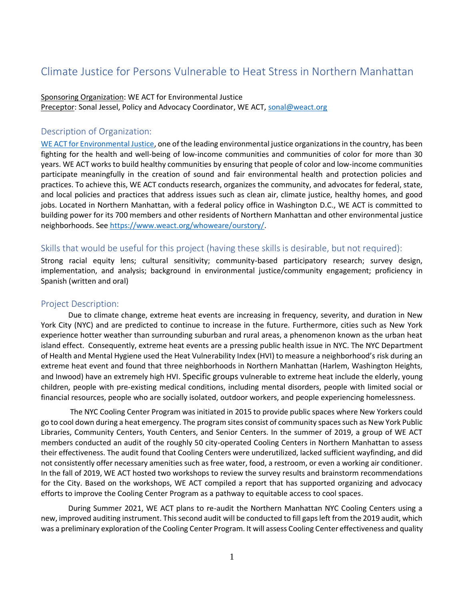# Climate Justice for Persons Vulnerable to Heat Stress in Northern Manhattan

#### Sponsoring Organization: WE ACT for Environmental Justice Preceptor: Sonal Jessel, Policy and Advocacy Coordinator, WE ACT, [sonal@weact.org](mailto:sonal@weact.org)

## Description of Organization:

[WE ACT for Environmental Justice,](https://www.weact.org/) one of the leading environmental justice organizations in the country, has been fighting for the health and well-being of low-income communities and communities of color for more than 30 years. WE ACT works to build healthy communities by ensuring that people of color and low-income communities participate meaningfully in the creation of sound and fair environmental health and protection policies and practices. To achieve this, WE ACT conducts research, organizes the community, and advocates for federal, state, and local policies and practices that address issues such as clean air, climate justice, healthy homes, and good jobs. Located in Northern Manhattan, with a federal policy office in Washington D.C., WE ACT is committed to building power for its 700 members and other residents of Northern Manhattan and other environmental justice neighborhoods. See [https://www.weact.org/whoweare/ourstory/.](https://www.weact.org/whoweare/ourstory/)

## Skills that would be useful for this project (having these skills is desirable, but not required):

Strong racial equity lens; cultural sensitivity; community-based participatory research; survey design, implementation, and analysis; background in environmental justice/community engagement; proficiency in Spanish (written and oral)

#### Project Description:

Due to climate change, extreme heat events are increasing in frequency, severity, and duration in New York City (NYC) and are predicted to continue to increase in the future. Furthermore, cities such as New York experience hotter weather than surrounding suburban and rural areas, a phenomenon known as the urban heat island effect. Consequently, extreme heat events are a pressing public health issue in NYC. The NYC Department of Health and Mental Hygiene used the Heat Vulnerability Index (HVI) to measure a neighborhood's risk during an extreme heat event and found that three neighborhoods in Northern Manhattan (Harlem, Washington Heights, and Inwood) have an extremely high HVI. Specific groups vulnerable to extreme heat include the elderly, young children, people with pre-existing medical conditions, including mental disorders, people with limited social or financial resources, people who are socially isolated, outdoor workers, and people experiencing homelessness.

The NYC Cooling Center Program was initiated in 2015 to provide public spaces where New Yorkers could go to cool down during a heat emergency. The program sites consist of community spaces such as New York Public Libraries, Community Centers, Youth Centers, and Senior Centers. In the summer of 2019, a group of WE ACT members conducted an audit of the roughly 50 city-operated Cooling Centers in Northern Manhattan to assess their effectiveness. The audit found that Cooling Centers were underutilized, lacked sufficient wayfinding, and did not consistently offer necessary amenities such as free water, food, a restroom, or even a working air conditioner. In the fall of 2019, WE ACT hosted two workshops to review the survey results and brainstorm recommendations for the City. Based on the workshops, WE ACT compiled a report that has supported organizing and advocacy efforts to improve the Cooling Center Program as a pathway to equitable access to cool spaces.

During Summer 2021, WE ACT plans to re-audit the Northern Manhattan NYC Cooling Centers using a new, improved auditing instrument. This second audit will be conducted to fill gaps left from the 2019 audit, which was a preliminary exploration of the Cooling Center Program. It will assess Cooling Center effectiveness and quality